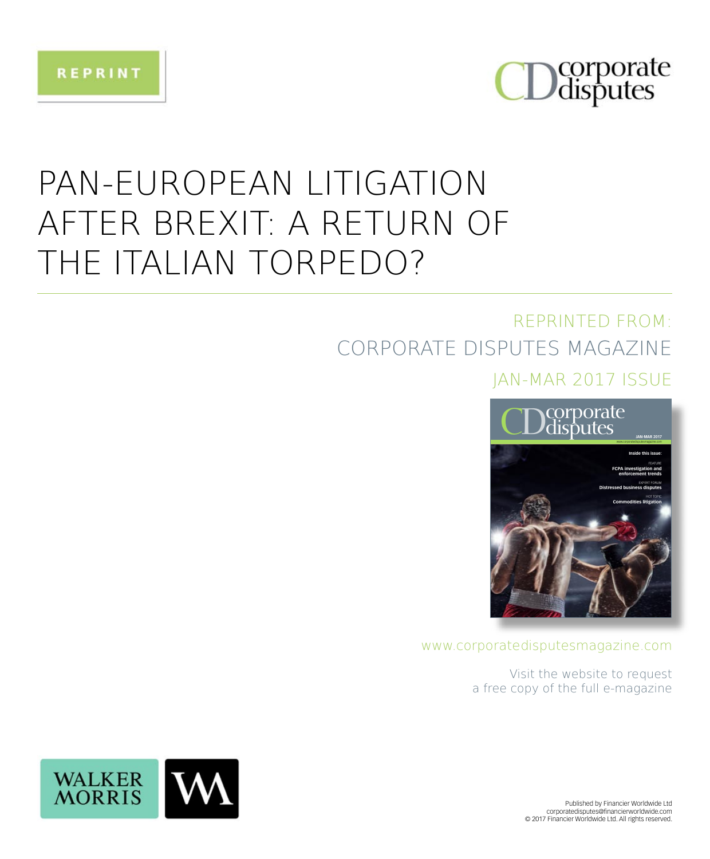



## PAN-EUROPEAN LITIGATION AFTER BREXIT: A RETURN OF THE ITALIAN TORPEDO?

### REPRINTED FROM: CORPORATE DISPUTES MAGAZINE

### **IAN-MAR 2017 ISSUE**



www.corporatedisputesmagazine.com

Visit the website to request a free copy of the full e-magazine



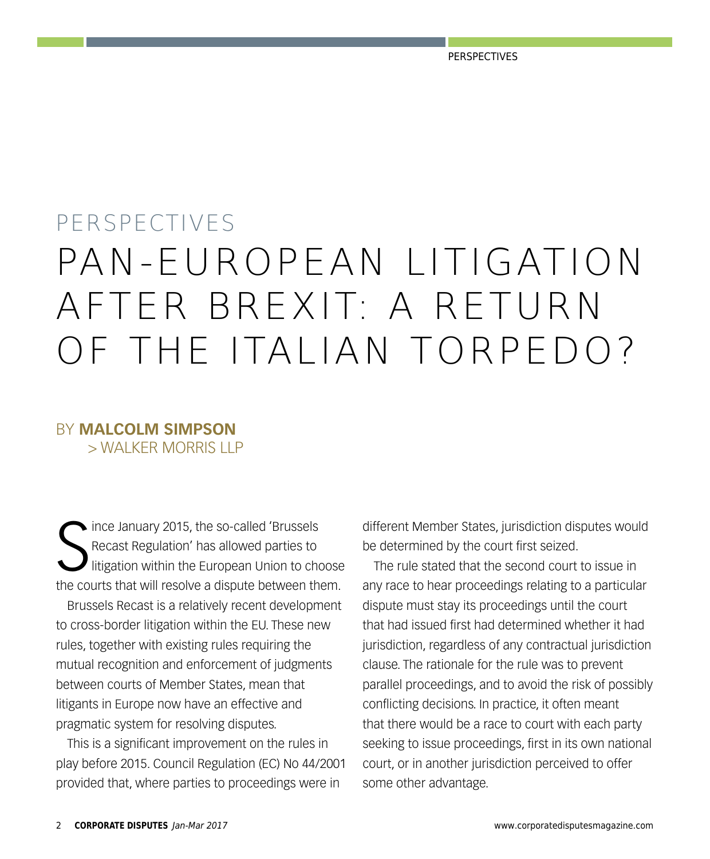# PERSPECTIVES PAN-EUROPEAN LITIGATION AFTER BREXIT: A RETURN OF THE ITALIAN TORPEDO?

### BY **MALCOLM SIMPSON** > WALKER MORRIS LLP

S Ince January 2015, the so-called 'Brussels' Recast Regulation' has allowed parties to litigation within the European Union to choose the courts that will resolve a dispute between them. Brussels Recast is a relatively recent development to cross-border litigation within the EU. These new rules, together with existing rules requiring the mutual recognition and enforcement of judgments between courts of Member States, mean that litigants in Europe now have an effective and pragmatic system for resolving disputes.

This is a significant improvement on the rules in play before 2015. Council Regulation (EC) No 44/2001 provided that, where parties to proceedings were in

different Member States, jurisdiction disputes would be determined by the court first seized.

The rule stated that the second court to issue in any race to hear proceedings relating to a particular dispute must stay its proceedings until the court that had issued first had determined whether it had jurisdiction, regardless of any contractual jurisdiction clause. The rationale for the rule was to prevent parallel proceedings, and to avoid the risk of possibly conflicting decisions. In practice, it often meant that there would be a race to court with each party seeking to issue proceedings, first in its own national court, or in another jurisdiction perceived to offer some other advantage.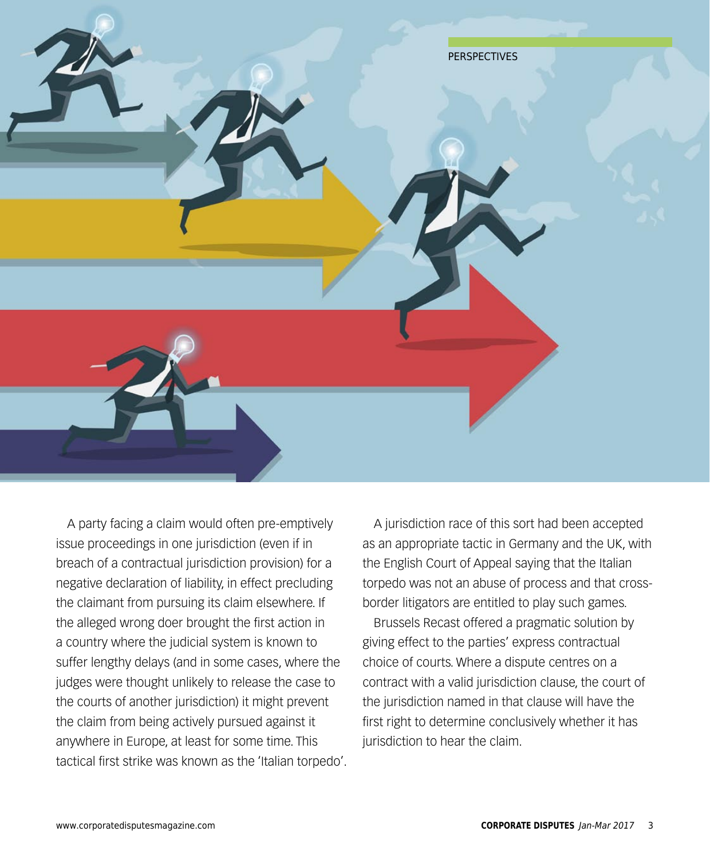

A party facing a claim would often pre-emptively issue proceedings in one jurisdiction (even if in breach of a contractual jurisdiction provision) for a negative declaration of liability, in effect precluding the claimant from pursuing its claim elsewhere. If the alleged wrong doer brought the first action in a country where the judicial system is known to suffer lengthy delays (and in some cases, where the judges were thought unlikely to release the case to the courts of another jurisdiction) it might prevent the claim from being actively pursued against it anywhere in Europe, at least for some time. This tactical first strike was known as the 'Italian torpedo'.

A jurisdiction race of this sort had been accepted as an appropriate tactic in Germany and the UK, with the English Court of Appeal saying that the Italian torpedo was not an abuse of process and that crossborder litigators are entitled to play such games.

Brussels Recast offered a pragmatic solution by giving effect to the parties' express contractual choice of courts. Where a dispute centres on a contract with a valid jurisdiction clause, the court of the jurisdiction named in that clause will have the first right to determine conclusively whether it has jurisdiction to hear the claim.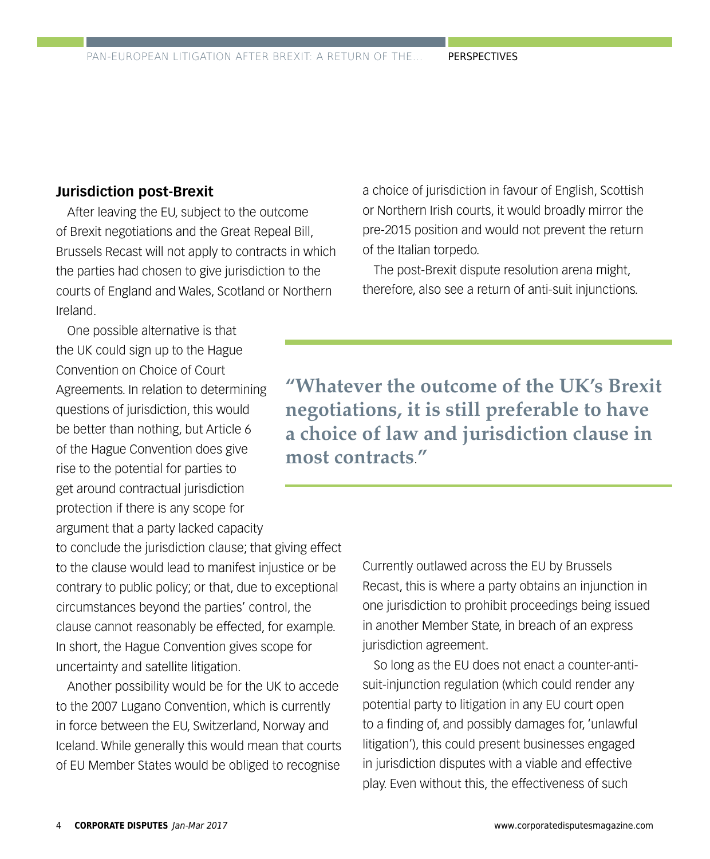#### **Jurisdiction post-Brexit**

After leaving the EU, subject to the outcome of Brexit negotiations and the Great Repeal Bill, Brussels Recast will not apply to contracts in which the parties had chosen to give jurisdiction to the courts of England and Wales, Scotland or Northern Ireland.

One possible alternative is that the UK could sign up to the Hague Convention on Choice of Court Agreements. In relation to determining questions of jurisdiction, this would be better than nothing, but Article 6 of the Hague Convention does give rise to the potential for parties to get around contractual jurisdiction protection if there is any scope for argument that a party lacked capacity

to conclude the jurisdiction clause; that giving effect to the clause would lead to manifest injustice or be contrary to public policy; or that, due to exceptional circumstances beyond the parties' control, the clause cannot reasonably be effected, for example. In short, the Hague Convention gives scope for uncertainty and satellite litigation.

Another possibility would be for the UK to accede to the 2007 Lugano Convention, which is currently in force between the EU, Switzerland, Norway and Iceland. While generally this would mean that courts of EU Member States would be obliged to recognise

a choice of jurisdiction in favour of English, Scottish or Northern Irish courts, it would broadly mirror the pre-2015 position and would not prevent the return of the Italian torpedo.

The post-Brexit dispute resolution arena might, therefore, also see a return of anti-suit injunctions.

**"Whatever the outcome of the UK's Brexit negotiations, it is still preferable to have a choice of law and jurisdiction clause in most contracts**.**"**

> Currently outlawed across the EU by Brussels Recast, this is where a party obtains an injunction in one jurisdiction to prohibit proceedings being issued in another Member State, in breach of an express jurisdiction agreement.

So long as the EU does not enact a counter-antisuit-injunction regulation (which could render any potential party to litigation in any EU court open to a finding of, and possibly damages for, 'unlawful litigation'), this could present businesses engaged in jurisdiction disputes with a viable and effective play. Even without this, the effectiveness of such